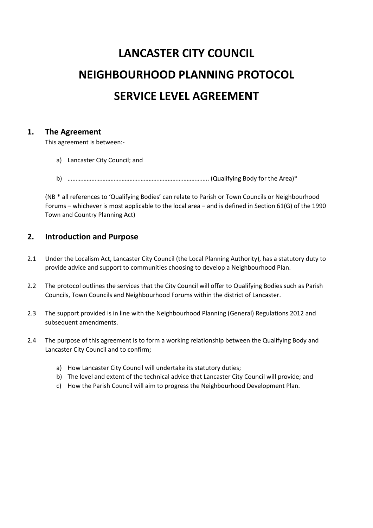# **LANCASTER CITY COUNCIL NEIGHBOURHOOD PLANNING PROTOCOL SERVICE LEVEL AGREEMENT**

## **1. The Agreement**

This agreement is between:-

- a) Lancaster City Council; and
- b) …………………………………………………………………………….. (Qualifying Body for the Area)\*

(NB \* all references to 'Qualifying Bodies' can relate to Parish or Town Councils or Neighbourhood Forums – whichever is most applicable to the local area – and is defined in Section 61(G) of the 1990 Town and Country Planning Act)

## **2. Introduction and Purpose**

- 2.1 Under the Localism Act, Lancaster City Council (the Local Planning Authority), has a statutory duty to provide advice and support to communities choosing to develop a Neighbourhood Plan.
- 2.2 The protocol outlines the services that the City Council will offer to Qualifying Bodies such as Parish Councils, Town Councils and Neighbourhood Forums within the district of Lancaster.
- 2.3 The support provided is in line with the Neighbourhood Planning (General) Regulations 2012 and subsequent amendments.
- 2.4 The purpose of this agreement is to form a working relationship between the Qualifying Body and Lancaster City Council and to confirm;
	- a) How Lancaster City Council will undertake its statutory duties;
	- b) The level and extent of the technical advice that Lancaster City Council will provide; and
	- c) How the Parish Council will aim to progress the Neighbourhood Development Plan.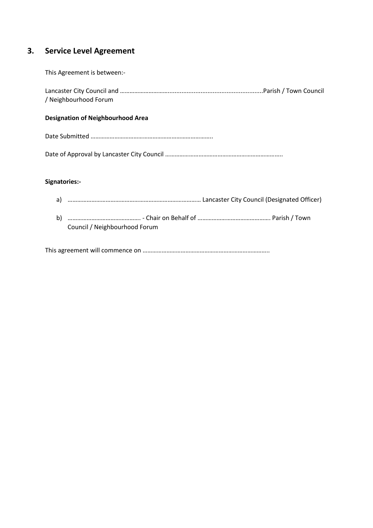# **3. Service Level Agreement**

This Agreement is between:-

Lancaster City Council and ………………………….......................................................Parish / Town Council / Neighbourhood Forum

#### **Designation of Neighbourhood Area**

Date Submitted …………………………………………………………………..

Date of Approval by Lancaster City Council ………………………………………………………………..

#### **Signatories:-**

- a) ………………………………………………………………………… Lancaster City Council (Designated Officer)
- b) ………………………………………. Chair on Behalf of ………………………………………. Parish / Town Council / Neighbourhood Forum

This agreement will commence on ……………………………………………………………………..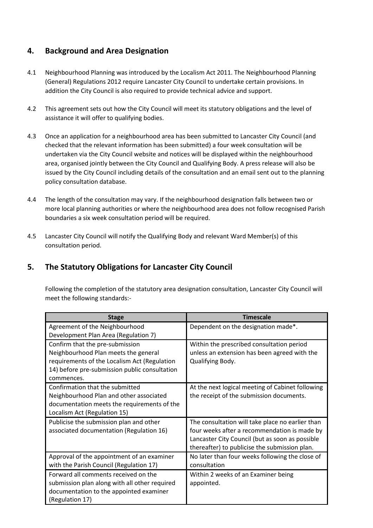# **4. Background and Area Designation**

- 4.1 Neighbourhood Planning was introduced by the Localism Act 2011. The Neighbourhood Planning (General) Regulations 2012 require Lancaster City Council to undertake certain provisions. In addition the City Council is also required to provide technical advice and support.
- 4.2 This agreement sets out how the City Council will meet its statutory obligations and the level of assistance it will offer to qualifying bodies.
- 4.3 Once an application for a neighbourhood area has been submitted to Lancaster City Council (and checked that the relevant information has been submitted) a four week consultation will be undertaken via the City Council website and notices will be displayed within the neighbourhood area, organised jointly between the City Council and Qualifying Body. A press release will also be issued by the City Council including details of the consultation and an email sent out to the planning policy consultation database.
- 4.4 The length of the consultation may vary. If the neighbourhood designation falls between two or more local planning authorities or where the neighbourhood area does not follow recognised Parish boundaries a six week consultation period will be required.
- 4.5 Lancaster City Council will notify the Qualifying Body and relevant Ward Member(s) of this consultation period.

# **5. The Statutory Obligations for Lancaster City Council**

Following the completion of the statutory area designation consultation, Lancaster City Council will meet the following standards:-

| <b>Stage</b>                                  | <b>Timescale</b>                                 |
|-----------------------------------------------|--------------------------------------------------|
| Agreement of the Neighbourhood                | Dependent on the designation made*.              |
| Development Plan Area (Regulation 7)          |                                                  |
| Confirm that the pre-submission               | Within the prescribed consultation period        |
| Neighbourhood Plan meets the general          | unless an extension has been agreed with the     |
| requirements of the Localism Act (Regulation  | Qualifying Body.                                 |
| 14) before pre-submission public consultation |                                                  |
| commences.                                    |                                                  |
| Confirmation that the submitted               | At the next logical meeting of Cabinet following |
| Neighbourhood Plan and other associated       | the receipt of the submission documents.         |
| documentation meets the requirements of the   |                                                  |
| Localism Act (Regulation 15)                  |                                                  |
| Publicise the submission plan and other       | The consultation will take place no earlier than |
| associated documentation (Regulation 16)      | four weeks after a recommendation is made by     |
|                                               | Lancaster City Council (but as soon as possible  |
|                                               | thereafter) to publicise the submission plan.    |
| Approval of the appointment of an examiner    | No later than four weeks following the close of  |
| with the Parish Council (Regulation 17)       | consultation                                     |
| Forward all comments received on the          | Within 2 weeks of an Examiner being              |
| submission plan along with all other required | appointed.                                       |
| documentation to the appointed examiner       |                                                  |
| (Regulation 17)                               |                                                  |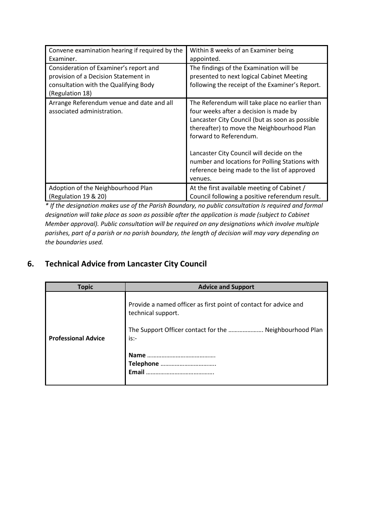| Convene examination hearing if required by the                                                                                             | Within 8 weeks of an Examiner being                                                                                                                                                                                                                                                                                                                                           |
|--------------------------------------------------------------------------------------------------------------------------------------------|-------------------------------------------------------------------------------------------------------------------------------------------------------------------------------------------------------------------------------------------------------------------------------------------------------------------------------------------------------------------------------|
| Examiner.                                                                                                                                  | appointed.                                                                                                                                                                                                                                                                                                                                                                    |
| Consideration of Examiner's report and<br>provision of a Decision Statement in<br>consultation with the Qualifying Body<br>(Regulation 18) | The findings of the Examination will be<br>presented to next logical Cabinet Meeting<br>following the receipt of the Examiner's Report.                                                                                                                                                                                                                                       |
| Arrange Referendum venue and date and all<br>associated administration.                                                                    | The Referendum will take place no earlier than<br>four weeks after a decision is made by<br>Lancaster City Council (but as soon as possible<br>thereafter) to move the Neighbourhood Plan<br>forward to Referendum.<br>Lancaster City Council will decide on the<br>number and locations for Polling Stations with<br>reference being made to the list of approved<br>venues. |
| Adoption of the Neighbourhood Plan                                                                                                         | At the first available meeting of Cabinet /                                                                                                                                                                                                                                                                                                                                   |
| (Regulation 19 & 20)                                                                                                                       | Council following a positive referendum result.                                                                                                                                                                                                                                                                                                                               |

*\* If the designation makes use of the Parish Boundary, no public consultation Is required and formal designation will take place as soon as possible after the application is made (subject to Cabinet Member approval). Public consultation will be required on any designations which involve multiple parishes, part of a parish or no parish boundary, the length of decision will may vary depending on the boundaries used.*

# **6. Technical Advice from Lancaster City Council**

| <b>Topic</b>               | <b>Advice and Support</b>                                                                                                                                   |
|----------------------------|-------------------------------------------------------------------------------------------------------------------------------------------------------------|
| <b>Professional Advice</b> | Provide a named officer as first point of contact for advice and<br>technical support.<br>The Support Officer contact for the  Neighbourhood Plan<br>$is:-$ |
|                            | Name<br><b>Email</b>                                                                                                                                        |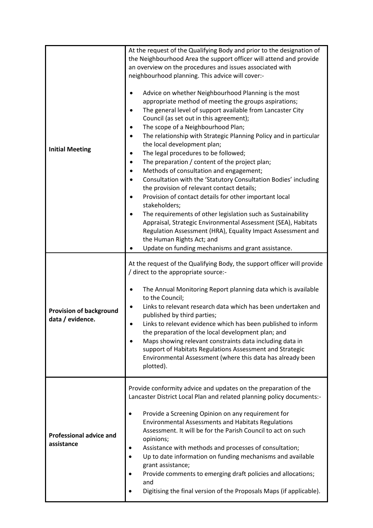| <b>Initial Meeting</b>                             | At the request of the Qualifying Body and prior to the designation of<br>the Neighbourhood Area the support officer will attend and provide<br>an overview on the procedures and issues associated with<br>neighbourhood planning. This advice will cover:-<br>Advice on whether Neighbourhood Planning is the most<br>appropriate method of meeting the groups aspirations;<br>The general level of support available from Lancaster City<br>Council (as set out in this agreement);<br>The scope of a Neighbourhood Plan;<br>The relationship with Strategic Planning Policy and in particular<br>٠<br>the local development plan;<br>The legal procedures to be followed;<br>The preparation / content of the project plan;<br>٠<br>Methods of consultation and engagement;<br>٠<br>Consultation with the 'Statutory Consultation Bodies' including<br>the provision of relevant contact details;<br>Provision of contact details for other important local<br>stakeholders;<br>The requirements of other legislation such as Sustainability<br>Appraisal, Strategic Environmental Assessment (SEA), Habitats<br>Regulation Assessment (HRA), Equality Impact Assessment and<br>the Human Rights Act; and<br>Update on funding mechanisms and grant assistance. |
|----------------------------------------------------|--------------------------------------------------------------------------------------------------------------------------------------------------------------------------------------------------------------------------------------------------------------------------------------------------------------------------------------------------------------------------------------------------------------------------------------------------------------------------------------------------------------------------------------------------------------------------------------------------------------------------------------------------------------------------------------------------------------------------------------------------------------------------------------------------------------------------------------------------------------------------------------------------------------------------------------------------------------------------------------------------------------------------------------------------------------------------------------------------------------------------------------------------------------------------------------------------------------------------------------------------------------------|
| <b>Provision of background</b><br>data / evidence. | At the request of the Qualifying Body, the support officer will provide<br>/ direct to the appropriate source:-<br>The Annual Monitoring Report planning data which is available<br>to the Council;<br>Links to relevant research data which has been undertaken and<br>published by third parties;<br>Links to relevant evidence which has been published to inform<br>the preparation of the local development plan; and<br>Maps showing relevant constraints data including data in<br>support of Habitats Regulations Assessment and Strategic<br>Environmental Assessment (where this data has already been<br>plotted).                                                                                                                                                                                                                                                                                                                                                                                                                                                                                                                                                                                                                                      |
| <b>Professional advice and</b><br>assistance       | Provide conformity advice and updates on the preparation of the<br>Lancaster District Local Plan and related planning policy documents:-<br>Provide a Screening Opinion on any requirement for<br>$\bullet$<br><b>Environmental Assessments and Habitats Regulations</b><br>Assessment. It will be for the Parish Council to act on such<br>opinions;<br>Assistance with methods and processes of consultation;<br>٠<br>Up to date information on funding mechanisms and available<br>$\bullet$<br>grant assistance;<br>Provide comments to emerging draft policies and allocations;<br>and<br>Digitising the final version of the Proposals Maps (if applicable).                                                                                                                                                                                                                                                                                                                                                                                                                                                                                                                                                                                                 |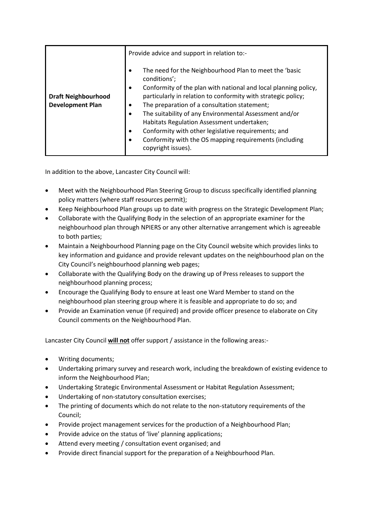|                                                       | Provide advice and support in relation to:-                                                                                                                                                                                                                                                                                                                                                                                                                                                                                                                                     |
|-------------------------------------------------------|---------------------------------------------------------------------------------------------------------------------------------------------------------------------------------------------------------------------------------------------------------------------------------------------------------------------------------------------------------------------------------------------------------------------------------------------------------------------------------------------------------------------------------------------------------------------------------|
| <b>Draft Neighbourhood</b><br><b>Development Plan</b> | The need for the Neighbourhood Plan to meet the 'basic<br>$\bullet$<br>conditions';<br>Conformity of the plan with national and local planning policy,<br>$\bullet$<br>particularly in relation to conformity with strategic policy;<br>The preparation of a consultation statement;<br>٠<br>The suitability of any Environmental Assessment and/or<br>$\bullet$<br>Habitats Regulation Assessment undertaken;<br>Conformity with other legislative requirements; and<br>$\bullet$<br>Conformity with the OS mapping requirements (including<br>$\bullet$<br>copyright issues). |

In addition to the above, Lancaster City Council will:

- Meet with the Neighbourhood Plan Steering Group to discuss specifically identified planning policy matters (where staff resources permit);
- Keep Neighbourhood Plan groups up to date with progress on the Strategic Development Plan;
- Collaborate with the Qualifying Body in the selection of an appropriate examiner for the neighbourhood plan through NPIERS or any other alternative arrangement which is agreeable to both parties;
- Maintain a Neighbourhood Planning page on the City Council website which provides links to key information and guidance and provide relevant updates on the neighbourhood plan on the City Council's neighbourhood planning web pages;
- Collaborate with the Qualifying Body on the drawing up of Press releases to support the neighbourhood planning process;
- Encourage the Qualifying Body to ensure at least one Ward Member to stand on the neighbourhood plan steering group where it is feasible and appropriate to do so; and
- Provide an Examination venue (if required) and provide officer presence to elaborate on City Council comments on the Neighbourhood Plan.

Lancaster City Council **will not** offer support / assistance in the following areas:-

- Writing documents;
- Undertaking primary survey and research work, including the breakdown of existing evidence to inform the Neighbourhood Plan;
- Undertaking Strategic Environmental Assessment or Habitat Regulation Assessment;
- Undertaking of non-statutory consultation exercises;
- The printing of documents which do not relate to the non-statutory requirements of the Council;
- Provide project management services for the production of a Neighbourhood Plan;
- Provide advice on the status of 'live' planning applications;
- Attend every meeting / consultation event organised; and
- Provide direct financial support for the preparation of a Neighbourhood Plan.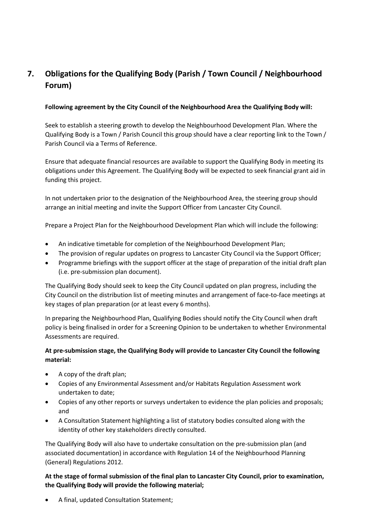# **7. Obligations for the Qualifying Body (Parish / Town Council / Neighbourhood Forum)**

### **Following agreement by the City Council of the Neighbourhood Area the Qualifying Body will:**

Seek to establish a steering growth to develop the Neighbourhood Development Plan. Where the Qualifying Body is a Town / Parish Council this group should have a clear reporting link to the Town / Parish Council via a Terms of Reference.

Ensure that adequate financial resources are available to support the Qualifying Body in meeting its obligations under this Agreement. The Qualifying Body will be expected to seek financial grant aid in funding this project.

In not undertaken prior to the designation of the Neighbourhood Area, the steering group should arrange an initial meeting and invite the Support Officer from Lancaster City Council.

Prepare a Project Plan for the Neighbourhood Development Plan which will include the following:

- An indicative timetable for completion of the Neighbourhood Development Plan;
- The provision of regular updates on progress to Lancaster City Council via the Support Officer;
- Programme briefings with the support officer at the stage of preparation of the initial draft plan (i.e. pre-submission plan document).

The Qualifying Body should seek to keep the City Council updated on plan progress, including the City Council on the distribution list of meeting minutes and arrangement of face-to-face meetings at key stages of plan preparation (or at least every 6 months).

In preparing the Neighbourhood Plan, Qualifying Bodies should notify the City Council when draft policy is being finalised in order for a Screening Opinion to be undertaken to whether Environmental Assessments are required.

## **At pre-submission stage, the Qualifying Body will provide to Lancaster City Council the following material:**

- A copy of the draft plan;
- Copies of any Environmental Assessment and/or Habitats Regulation Assessment work undertaken to date;
- Copies of any other reports or surveys undertaken to evidence the plan policies and proposals; and
- A Consultation Statement highlighting a list of statutory bodies consulted along with the identity of other key stakeholders directly consulted.

The Qualifying Body will also have to undertake consultation on the pre-submission plan (and associated documentation) in accordance with Regulation 14 of the Neighbourhood Planning (General) Regulations 2012.

**At the stage of formal submission of the final plan to Lancaster City Council, prior to examination, the Qualifying Body will provide the following material;**

A final, updated Consultation Statement;